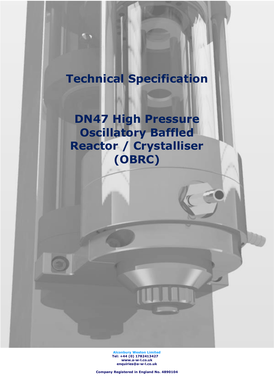# **Technical Specification**

**DN47 High Pressure Oscillatory Baffled Reactor / Crystalliser (OBRC)**

> **Alconbury Weston Limited Tel: +44 (0) 1782413427 [www.a-w-l.co.uk](http://www.a-w-l.co.uk/) enquiries@a-w-l.co.uk**

**Company Registered in England No. 4890104**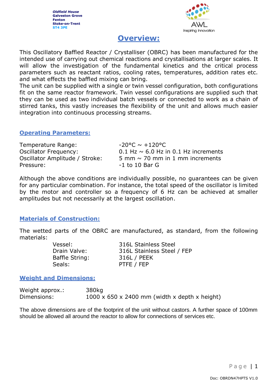

# **Overview:**

This Oscillatory Baffled Reactor / Crystalliser (OBRC) has been manufactured for the intended use of carrying out chemical reactions and crystallisations at larger scales. It will allow the investigation of the fundamental kinetics and the critical process parameters such as reactant ratios, cooling rates, temperatures, addition rates etc. and what effects the baffled mixing can bring.

The unit can be supplied with a single or twin vessel configuration, both configurations fit on the same reactor framework. Twin vessel configurations are supplied such that they can be used as two individual batch vessels or connected to work as a chain of stirred tanks, this vastly increases the flexibility of the unit and allows much easier integration into continuous processing streams.

#### **Operating Parameters:**

| Temperature Range:             | $-20^{\circ}$ C ~ $+120^{\circ}$ C          |
|--------------------------------|---------------------------------------------|
| <b>Oscillator Frequency:</b>   | $0.1$ Hz $\sim$ 6.0 Hz in 0.1 Hz increments |
| Oscillator Amplitude / Stroke: | 5 mm $\sim$ 70 mm in 1 mm increments        |
| Pressure:                      | $-1$ to 10 Bar G                            |

Although the above conditions are individually possible, no guarantees can be given for any particular combination. For instance, the total speed of the oscillator is limited by the motor and controller so a frequency of 6 Hz can be achieved at smaller amplitudes but not necessarily at the largest oscillation.

#### **Materials of Construction:**

The wetted parts of the OBRC are manufactured, as standard, from the following materials:

| Vessel:        | 316L Stainless Steel       |
|----------------|----------------------------|
| Drain Valve:   | 316L Stainless Steel / FEP |
| Baffle String: | 316L / PEEK                |
| Seals:         | PTFE / FEP                 |

#### **Weight and Dimensions:**

Weight approx.: 380kg Dimensions:  $1000 \times 650 \times 2400$  mm (width x depth x height)

The above dimensions are of the footprint of the unit without castors. A further space of 100mm should be allowed all around the reactor to allow for connections of services etc.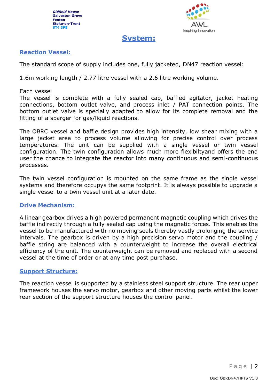

# **System:**

## **Reaction Vessel:**

The standard scope of supply includes one, fully jacketed, DN47 reaction vessel:

1.6m working length / 2.77 litre vessel with a 2.6 litre working volume.

#### Each vessel

The vessel is complete with a fully sealed cap, baffled agitator, jacket heating connections, bottom outlet valve, and process inlet / PAT connection points. The bottom outlet valve is specially adapted to allow for its complete removal and the fitting of a sparger for gas/liquid reactions.

The OBRC vessel and baffle design provides high intensity, low shear mixing with a large jacket area to process volume allowing for precise control over process temperatures. The unit can be supplied with a single vessel or twin vessel configuration. The twin configuration allows much more flexibiltyand offers the end user the chance to integrate the reactor into many continuous and semi-continuous processes.

The twin vessel configuration is mounted on the same frame as the single vessel systems and therefore occupys the same footprint. It is always possible to upgrade a single vessel to a twin vessel unit at a later date.

#### **Drive Mechanism:**

A linear gearbox drives a high powered permanent magnetic coupling which drives the baffle indirectly through a fully sealed cap using the magnetic forces. This enables the vessel to be manufactured with no moving seals thereby vastly prolonging the service intervals. The gearbox is driven by a high precision servo motor and the coupling / baffle string are balanced with a counterweight to increase the overall electrical efficiency of the unit. The counterweight can be removed and replaced with a second vessel at the time of order or at any time post purchase.

#### **Support Structure:**

The reaction vessel is supported by a stainless steel support structure. The rear upper framework houses the servo motor, gearbox and other moving parts whilst the lower rear section of the support structure houses the control panel.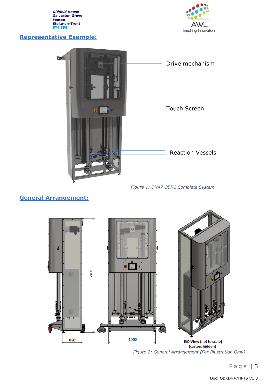### **Representative Example:**





*Figure 1: DN47 OBRC Complete System*

# **General Arrangement:**



*Figure 2: General Arrangement (For Illustration Only)*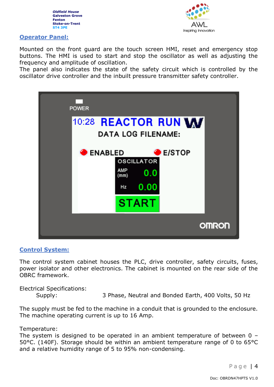



#### **Operator Panel:**

Mounted on the front guard are the touch screen HMI, reset and emergency stop buttons. The HMI is used to start and stop the oscillator as well as adjusting the frequency and amplitude of oscillation.

The panel also indicates the state of the safety circuit which is controlled by the oscillator drive controller and the inbuilt pressure transmitter safety controller.



#### **Control System:**

The control system cabinet houses the PLC, drive controller, safety circuits, fuses, power isolator and other electronics. The cabinet is mounted on the rear side of the OBRC framework.

Electrical Specifications: Supply: 3 Phase, Neutral and Bonded Earth, 400 Volts, 50 Hz

The supply must be fed to the machine in a conduit that is grounded to the enclosure. The machine operating current is up to 16 Amp.

Temperature:

The system is designed to be operated in an ambient temperature of between 0 – 50°C. (140F). Storage should be within an ambient temperature range of 0 to 65°C and a relative humidity range of 5 to 95% non-condensing.